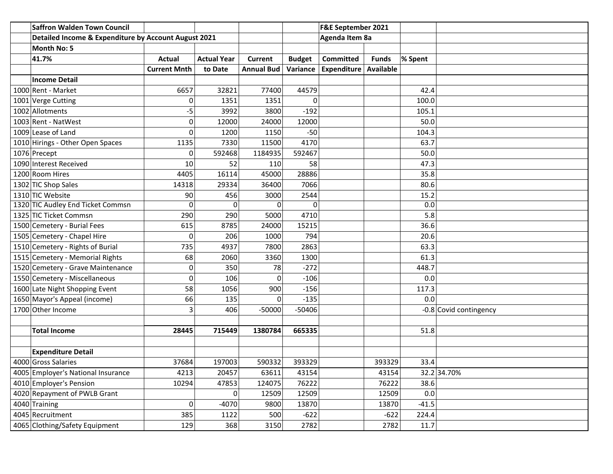| <b>Saffron Walden Town Council</b>                   |                     |                    |            |               | F&E September 2021    |              |         |                        |
|------------------------------------------------------|---------------------|--------------------|------------|---------------|-----------------------|--------------|---------|------------------------|
| Detailed Income & Expenditure by Account August 2021 |                     |                    |            |               | Agenda Item 8a        |              |         |                        |
| <b>Month No: 5</b>                                   |                     |                    |            |               |                       |              |         |                        |
| 41.7%                                                | <b>Actual</b>       | <b>Actual Year</b> | Current    | <b>Budget</b> | <b>Committed</b>      | <b>Funds</b> | % Spent |                        |
|                                                      | <b>Current Mnth</b> | to Date            | Annual Bud | Variance      | Expenditure Available |              |         |                        |
| <b>Income Detail</b>                                 |                     |                    |            |               |                       |              |         |                        |
| 1000 Rent - Market                                   | 6657                | 32821              | 77400      | 44579         |                       |              | 42.4    |                        |
| 1001 Verge Cutting                                   | $\overline{0}$      | 1351               | 1351       | 0             |                       |              | 100.0   |                        |
| 1002 Allotments                                      | -5                  | 3992               | 3800       | $-192$        |                       |              | 105.1   |                        |
| 1003 Rent - NatWest                                  | $\Omega$            | 12000              | 24000      | 12000         |                       |              | 50.0    |                        |
| 1009 Lease of Land                                   | $\Omega$            | 1200               | 1150       | $-50$         |                       |              | 104.3   |                        |
| 1010 Hirings - Other Open Spaces                     | 1135                | 7330               | 11500      | 4170          |                       |              | 63.7    |                        |
| 1076 Precept                                         | 0                   | 592468             | 1184935    | 592467        |                       |              | 50.0    |                        |
| 1090 Interest Received                               | 10                  | 52                 | 110        | 58            |                       |              | 47.3    |                        |
| 1200 Room Hires                                      | 4405                | 16114              | 45000      | 28886         |                       |              | 35.8    |                        |
| 1302 TIC Shop Sales                                  | 14318               | 29334              | 36400      | 7066          |                       |              | 80.6    |                        |
| 1310 TIC Website                                     | 90                  | 456                | 3000       | 2544          |                       |              | 15.2    |                        |
| 1320 TIC Audley End Ticket Commsn                    | $\overline{0}$      | $\Omega$           | 0          | 0             |                       |              | 0.0     |                        |
| 1325 TIC Ticket Commsn                               | 290                 | 290                | 5000       | 4710          |                       |              | 5.8     |                        |
| 1500 Cemetery - Burial Fees                          | 615                 | 8785               | 24000      | 15215         |                       |              | 36.6    |                        |
| 1505 Cemetery - Chapel Hire                          | $\overline{0}$      | 206                | 1000       | 794           |                       |              | 20.6    |                        |
| 1510 Cemetery - Rights of Burial                     | 735                 | 4937               | 7800       | 2863          |                       |              | 63.3    |                        |
| 1515 Cemetery - Memorial Rights                      | 68                  | 2060               | 3360       | 1300          |                       |              | 61.3    |                        |
| 1520 Cemetery - Grave Maintenance                    | $\overline{0}$      | 350                | 78         | $-272$        |                       |              | 448.7   |                        |
| 1550 Cemetery - Miscellaneous                        | $\overline{0}$      | 106                | 0          | $-106$        |                       |              | 0.0     |                        |
| 1600 Late Night Shopping Event                       | 58                  | 1056               | 900        | $-156$        |                       |              | 117.3   |                        |
| 1650 Mayor's Appeal (income)                         | 66                  | 135                | $\Omega$   | $-135$        |                       |              | 0.0     |                        |
| 1700 Other Income                                    | 3                   | 406                | $-50000$   | $-50406$      |                       |              |         | -0.8 Covid contingency |
|                                                      |                     |                    |            |               |                       |              |         |                        |
| <b>Total Income</b>                                  | 28445               | 715449             | 1380784    | 665335        |                       |              | 51.8    |                        |
|                                                      |                     |                    |            |               |                       |              |         |                        |
| <b>Expenditure Detail</b>                            |                     |                    |            |               |                       |              |         |                        |
| 4000 Gross Salaries                                  | 37684               | 197003             | 590332     | 393329        |                       | 393329       | 33.4    |                        |
| 4005 Employer's National Insurance                   | 4213                | 20457              | 63611      | 43154         |                       | 43154        |         | 32.2 34.70%            |
| 4010 Employer's Pension                              | 10294               | 47853              | 124075     | 76222         |                       | 76222        | 38.6    |                        |
| 4020 Repayment of PWLB Grant                         |                     | 0                  | 12509      | 12509         |                       | 12509        | 0.0     |                        |
| 4040 Training                                        | $\overline{0}$      | $-4070$            | 9800       | 13870         |                       | 13870        | $-41.5$ |                        |
| 4045 Recruitment                                     | 385                 | 1122               | 500        | $-622$        |                       | $-622$       | 224.4   |                        |
| 4065 Clothing/Safety Equipment                       | 129                 | 368                | 3150       | 2782          |                       | 2782         | 11.7    |                        |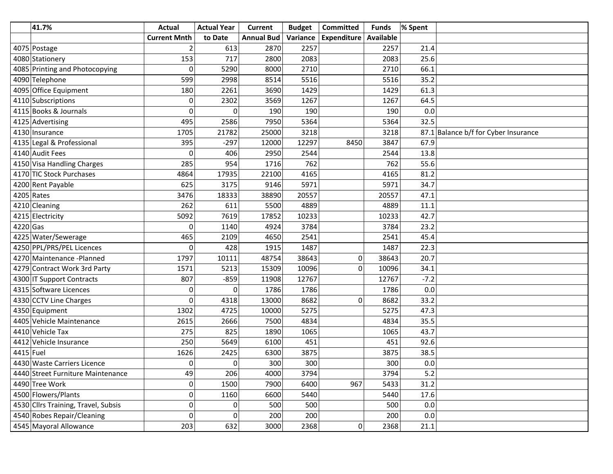|            | 41.7%                               | Actual              | <b>Actual Year</b> | <b>Current</b>    | <b>Budget</b> | <b>Committed</b>    | <b>Funds</b> | % Spent                              |
|------------|-------------------------------------|---------------------|--------------------|-------------------|---------------|---------------------|--------------|--------------------------------------|
|            |                                     | <b>Current Mnth</b> | to Date            | <b>Annual Bud</b> | Variance      | Expenditure         | Available    |                                      |
|            | 4075 Postage                        | 2                   | 613                | 2870              | 2257          |                     | 2257         | 21.4                                 |
|            | 4080 Stationery                     | 153                 | 717                | 2800              | 2083          |                     | 2083         | 25.6                                 |
|            | 4085 Printing and Photocopying      | $\Omega$            | 5290               | 8000              | 2710          |                     | 2710         | 66.1                                 |
|            | 4090 Telephone                      | 599                 | 2998               | 8514              | 5516          |                     | 5516         | 35.2                                 |
|            | 4095 Office Equipment               | 180                 | 2261               | 3690              | 1429          |                     | 1429         | 61.3                                 |
|            | 4110 Subscriptions                  | 0                   | 2302               | 3569              | 1267          |                     | 1267         | 64.5                                 |
|            | 4115 Books & Journals               | 0                   | 0                  | 190               | 190           |                     | 190          | 0.0                                  |
|            | 4125 Advertising                    | 495                 | 2586               | 7950              | 5364          |                     | 5364         | 32.5                                 |
|            | 4130 Insurance                      | 1705                | 21782              | 25000             | 3218          |                     | 3218         | 87.1 Balance b/f for Cyber Insurance |
|            | 4135 Legal & Professional           | 395                 | $-297$             | 12000             | 12297         | 8450                | 3847         | 67.9                                 |
|            | 4140 Audit Fees                     | $\Omega$            | 406                | 2950              | 2544          |                     | 2544         | 13.8                                 |
|            | 4150 Visa Handling Charges          | 285                 | 954                | 1716              | 762           |                     | 762          | 55.6                                 |
|            | 4170 TIC Stock Purchases            | 4864                | 17935              | 22100             | 4165          |                     | 4165         | 81.2                                 |
|            | 4200 Rent Payable                   | 625                 | 3175               | 9146              | 5971          |                     | 5971         | 34.7                                 |
|            | $4205$ Rates                        | 3476                | 18333              | 38890             | 20557         |                     | 20557        | 47.1                                 |
|            | 4210 Cleaning                       | 262                 | 611                | 5500              | 4889          |                     | 4889         | 11.1                                 |
|            | 4215 Electricity                    | 5092                | 7619               | 17852             | 10233         |                     | 10233        | 42.7                                 |
| $4220$ Gas |                                     | 0                   | 1140               | 4924              | 3784          |                     | 3784         | 23.2                                 |
|            | 4225 Water/Sewerage                 | 465                 | 2109               | 4650              | 2541          |                     | 2541         | 45.4                                 |
|            | 4250 PPL/PRS/PEL Licences           | $\Omega$            | 428                | 1915              | 1487          |                     | 1487         | 22.3                                 |
|            | 4270 Maintenance - Planned          | 1797                | 10111              | 48754             | 38643         | 0                   | 38643        | 20.7                                 |
|            | 4279 Contract Work 3rd Party        | 1571                | 5213               | 15309             | 10096         | $\mathbf 0$         | 10096        | 34.1                                 |
|            | 4300 IT Support Contracts           | 807                 | $-859$             | 11908             | 12767         |                     | 12767        | $-7.2$                               |
|            | 4315 Software Licences              | $\overline{0}$      | 0                  | 1786              | 1786          |                     | 1786         | 0.0                                  |
|            | 4330 CCTV Line Charges              | $\Omega$            | 4318               | 13000             | 8682          | 0                   | 8682         | 33.2                                 |
|            | 4350 Equipment                      | 1302                | 4725               | 10000             | 5275          |                     | 5275         | 47.3                                 |
|            | 4405 Vehicle Maintenance            | 2615                | 2666               | 7500              | 4834          |                     | 4834         | 35.5                                 |
|            | 4410 Vehicle Tax                    | 275                 | 825                | 1890              | 1065          |                     | 1065         | 43.7                                 |
|            | 4412 Vehicle Insurance              | 250                 | 5649               | 6100              | 451           |                     | 451          | 92.6                                 |
| 4415 Fuel  |                                     | 1626                | 2425               | 6300              | 3875          |                     | 3875         | 38.5                                 |
|            | 4430 Waste Carriers Licence         | $\Omega$            | $\Omega$           | 300               | 300           |                     | 300          | $0.0\,$                              |
|            | 4440 Street Furniture Maintenance   | 49                  | 206                | 4000              | 3794          |                     | 3794         | $5.2$                                |
|            | 4490 Tree Work                      | $\mathbf{0}$        | 1500               | 7900              | 6400          | 967                 | 5433         | 31.2                                 |
|            | 4500 Flowers/Plants                 | $\overline{0}$      | 1160               | 6600              | 5440          |                     | 5440         | 17.6                                 |
|            | 4530 Cllrs Training, Travel, Subsis | $\overline{0}$      | 0                  | 500               | 500           |                     | 500          | $0.0\,$                              |
|            | 4540 Robes Repair/Cleaning          | 0                   | 0                  | 200               | 200           |                     | 200          | 0.0                                  |
|            | 4545 Mayoral Allowance              | 203                 | 632                | 3000              | 2368          | $\mathsf{O}\xspace$ | 2368         | 21.1                                 |